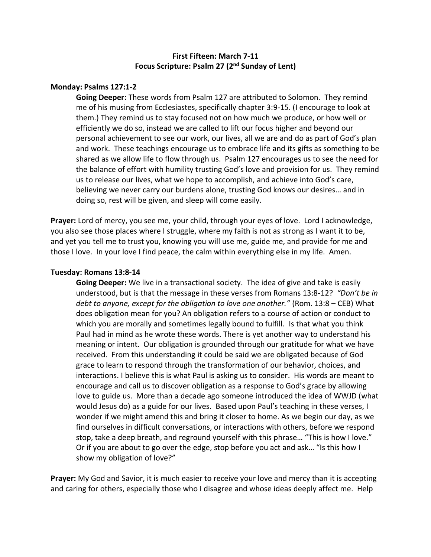# **First Fifteen: March 7-11 Focus Scripture: Psalm 27 (2nd Sunday of Lent)**

## **Monday: Psalms 127:1-2**

**Going Deeper:** These words from Psalm 127 are attributed to Solomon. They remind me of his musing from Ecclesiastes, specifically chapter 3:9-15. (I encourage to look at them.) They remind us to stay focused not on how much we produce, or how well or efficiently we do so, instead we are called to lift our focus higher and beyond our personal achievement to see our work, our lives, all we are and do as part of God's plan and work. These teachings encourage us to embrace life and its gifts as something to be shared as we allow life to flow through us. Psalm 127 encourages us to see the need for the balance of effort with humility trusting God's love and provision for us. They remind us to release our lives, what we hope to accomplish, and achieve into God's care, believing we never carry our burdens alone, trusting God knows our desires… and in doing so, rest will be given, and sleep will come easily.

**Prayer:** Lord of mercy, you see me, your child, through your eyes of love. Lord I acknowledge, you also see those places where I struggle, where my faith is not as strong as I want it to be, and yet you tell me to trust you, knowing you will use me, guide me, and provide for me and those I love. In your love I find peace, the calm within everything else in my life. Amen.

#### **Tuesday: Romans 13:8-14**

**Going Deeper:** We live in a transactional society. The idea of give and take is easily understood, but is that the message in these verses from Romans 13:8-12? *"Don't be in debt to anyone, except for the obligation to love one another."* (Rom. 13:8 – CEB) What does obligation mean for you? An obligation refers to a course of action or conduct to which you are morally and sometimes legally bound to fulfill. Is that what you think Paul had in mind as he wrote these words. There is yet another way to understand his meaning or intent. Our obligation is grounded through our gratitude for what we have received. From this understanding it could be said we are obligated because of God grace to learn to respond through the transformation of our behavior, choices, and interactions. I believe this is what Paul is asking us to consider. His words are meant to encourage and call us to discover obligation as a response to God's grace by allowing love to guide us. More than a decade ago someone introduced the idea of WWJD (what would Jesus do) as a guide for our lives. Based upon Paul's teaching in these verses, I wonder if we might amend this and bring it closer to home. As we begin our day, as we find ourselves in difficult conversations, or interactions with others, before we respond stop, take a deep breath, and reground yourself with this phrase… "This is how I love." Or if you are about to go over the edge, stop before you act and ask… "Is this how I show my obligation of love?"

**Prayer:** My God and Savior, it is much easier to receive your love and mercy than it is accepting and caring for others, especially those who I disagree and whose ideas deeply affect me. Help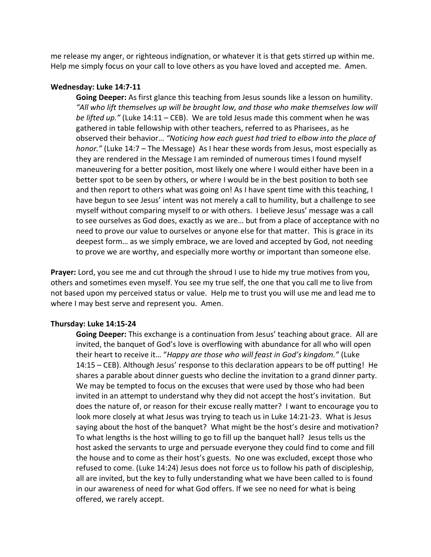me release my anger, or righteous indignation, or whatever it is that gets stirred up within me. Help me simply focus on your call to love others as you have loved and accepted me. Amen.

## **Wednesday: Luke 14:7-11**

**Going Deeper:** As first glance this teaching from Jesus sounds like a lesson on humility. *"All who lift themselves up will be brought low, and those who make themselves low will be lifted up."* (Luke 14:11 – CEB). We are told Jesus made this comment when he was gathered in table fellowship with other teachers, referred to as Pharisees, as he observed their behavior… *"Noticing how each guest had tried to elbow into the place of honor."* (Luke 14:7 – The Message) As I hear these words from Jesus, most especially as they are rendered in the Message I am reminded of numerous times I found myself maneuvering for a better position, most likely one where I would either have been in a better spot to be seen by others, or where I would be in the best position to both see and then report to others what was going on! As I have spent time with this teaching, I have begun to see Jesus' intent was not merely a call to humility, but a challenge to see myself without comparing myself to or with others. I believe Jesus' message was a call to see ourselves as God does, exactly as we are… but from a place of acceptance with no need to prove our value to ourselves or anyone else for that matter. This is grace in its deepest form… as we simply embrace, we are loved and accepted by God, not needing to prove we are worthy, and especially more worthy or important than someone else.

**Prayer:** Lord, you see me and cut through the shroud I use to hide my true motives from you, others and sometimes even myself. You see my true self, the one that you call me to live from not based upon my perceived status or value. Help me to trust you will use me and lead me to where I may best serve and represent you. Amen.

#### **Thursday: Luke 14:15-24**

**Going Deeper:** This exchange is a continuation from Jesus' teaching about grace. All are invited, the banquet of God's love is overflowing with abundance for all who will open their heart to receive it… "*Happy are those who will feast in God's kingdom."* (Luke 14:15 – CEB). Although Jesus' response to this declaration appears to be off putting! He shares a parable about dinner guests who decline the invitation to a grand dinner party. We may be tempted to focus on the excuses that were used by those who had been invited in an attempt to understand why they did not accept the host's invitation. But does the nature of, or reason for their excuse really matter? I want to encourage you to look more closely at what Jesus was trying to teach us in Luke 14:21-23. What is Jesus saying about the host of the banquet? What might be the host's desire and motivation? To what lengths is the host willing to go to fill up the banquet hall? Jesus tells us the host asked the servants to urge and persuade everyone they could find to come and fill the house and to come as their host's guests. No one was excluded, except those who refused to come. (Luke 14:24) Jesus does not force us to follow his path of discipleship, all are invited, but the key to fully understanding what we have been called to is found in our awareness of need for what God offers. If we see no need for what is being offered, we rarely accept.